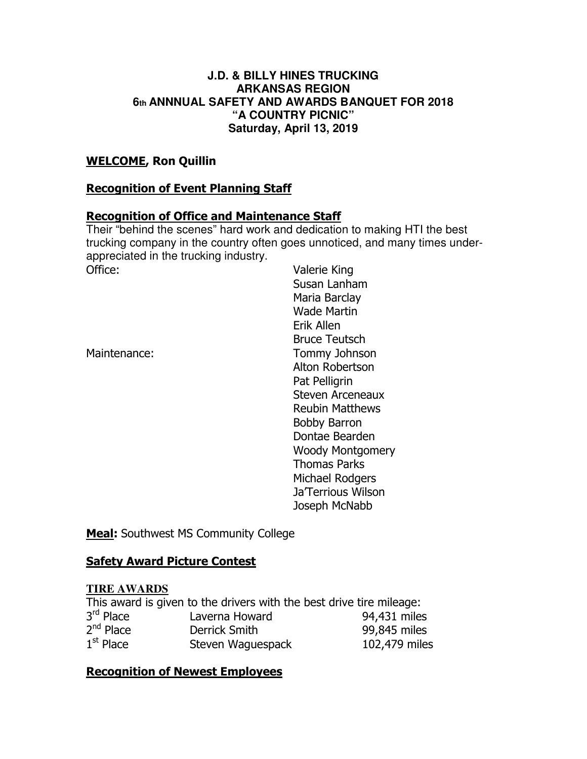#### **J.D. & BILLY HINES TRUCKING ARKANSAS REGION 6th ANNNUAL SAFETY AND AWARDS BANQUET FOR 2018 "A COUNTRY PICNIC" Saturday, April 13, 2019**

## WELCOME, Ron Quillin

#### Recognition of Event Planning Staff

#### Recognition of Office and Maintenance Staff

Their "behind the scenes" hard work and dedication to making HTI the best trucking company in the country often goes unnoticed, and many times underappreciated in the trucking industry. Office: Valerie King

Susan Lanham Maria Barclay Wade Martin Erik Allen Bruce Teutsch Maintenance: Tommy Johnson Alton Robertson Pat Pelligrin Steven Arceneaux Reubin Matthews Bobby Barron Dontae Bearden Woody Montgomery Thomas Parks Michael Rodgers Ja'Terrious Wilson Joseph McNabb

**Meal:** Southwest MS Community College

#### Safety Award Picture Contest

#### **TIRE AWARDS**

|             | This award is given to the drivers with the best drive tire mileage: |               |
|-------------|----------------------------------------------------------------------|---------------|
| $3rd$ Place | Laverna Howard                                                       | 94,431 miles  |
| $2nd$ Place | Derrick Smith                                                        | 99,845 miles  |
| $1st$ Place | Steven Waguespack                                                    | 102,479 miles |

## Recognition of Newest Employees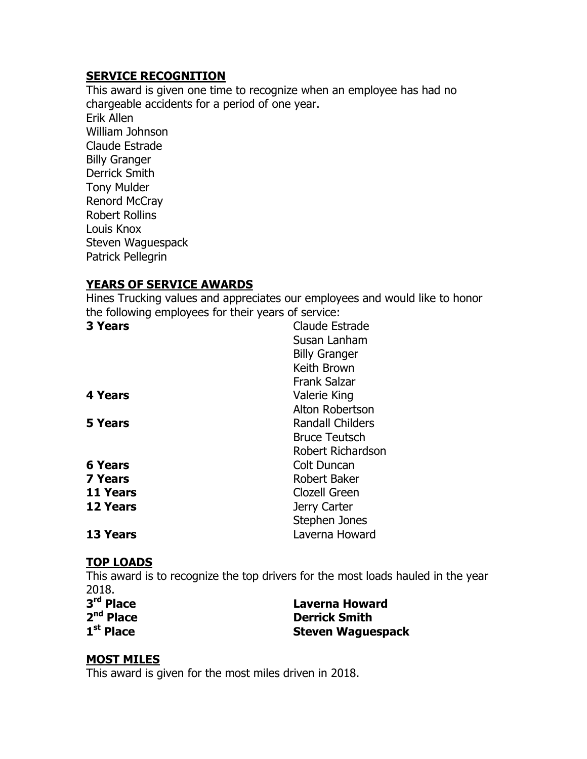## SERVICE RECOGNITION

This award is given one time to recognize when an employee has had no chargeable accidents for a period of one year.

Erik Allen William Johnson Claude Estrade Billy Granger Derrick Smith Tony Mulder Renord McCray Robert Rollins Louis Knox Steven Waguespack Patrick Pellegrin

## YEARS OF SERVICE AWARDS

Hines Trucking values and appreciates our employees and would like to honor the following employees for their years of service:

| <b>3 Years</b>  | Claude Estrade          |
|-----------------|-------------------------|
|                 | Susan Lanham            |
|                 | <b>Billy Granger</b>    |
|                 | Keith Brown             |
|                 | <b>Frank Salzar</b>     |
| 4 Years         | Valerie King            |
|                 | Alton Robertson         |
| <b>5 Years</b>  | <b>Randall Childers</b> |
|                 | <b>Bruce Teutsch</b>    |
|                 | Robert Richardson       |
| <b>6 Years</b>  | Colt Duncan             |
| <b>7 Years</b>  | Robert Baker            |
| 11 Years        | Clozell Green           |
| <b>12 Years</b> | Jerry Carter            |
|                 | Stephen Jones           |
| <b>13 Years</b> | Laverna Howard          |
|                 |                         |

## TOP LOADS

This award is to recognize the top drivers for the most loads hauled in the year 2018.

| 3 <sup>rd</sup> Place | <b>Laverna Howard</b>    |
|-----------------------|--------------------------|
| $2nd$ Place           | <b>Derrick Smith</b>     |
| $1st$ Place           | <b>Steven Waguespack</b> |

## MOST MILES

This award is given for the most miles driven in 2018.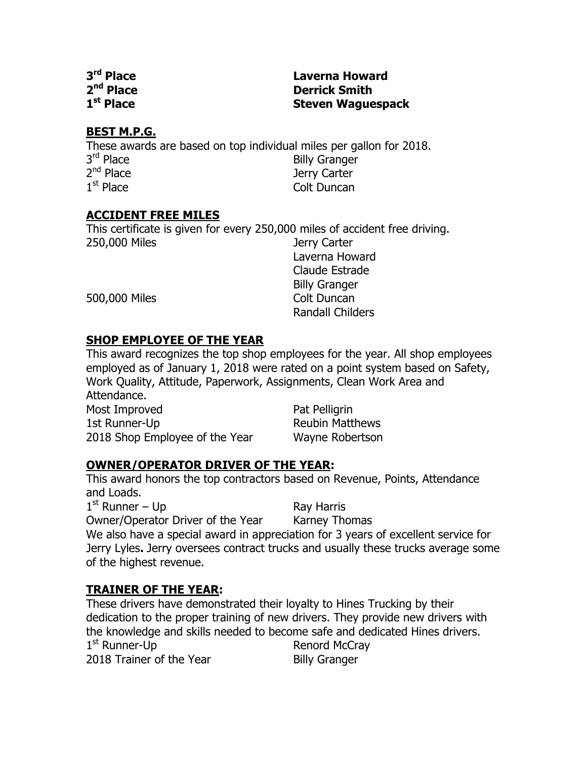3<sup>rd</sup> Place  $2<sup>nd</sup>$  Place 1<sup>st</sup> Place

Laverna Howard **Derrick Smith Steven Waguespack** 

## BEST M.P.G.

These awards are based on top individual miles per gallon for 2018. 3rd Place **Billy Granger**  $2<sup>nd</sup>$  Place Jerry Carter 1<sup>st</sup> Place Colt Duncan

# ACCIDENT FREE MILES

This certificate is given for every 250,000 miles of accident free driving. 250,000 Miles **Jerry Carter** 

Laverna Howard Claude Estrade Billy Granger Randall Childers

500,000 Miles Colt Duncan

# SHOP EMPLOYEE OF THE YEAR

This award recognizes the top shop employees for the year. All shop employees employed as of January 1, 2018 were rated on a point system based on Safety, Work Quality, Attitude, Paperwork, Assignments, Clean Work Area and Attendance. Most Improved **Pat Pelligrin** 1st Runner-Up **Reubin Matthews** 

2018 Shop Employee of the Year Wayne Robertson

# OWNER/OPERATOR DRIVER OF THE YEAR:

This award honors the top contractors based on Revenue, Points, Attendance and Loads.

1<sup>st</sup> Runner – Up Ray Harris

Owner/Operator Driver of the Year Karney Thomas We also have a special award in appreciation for 3 years of excellent service for Jerry Lyles. Jerry oversees contract trucks and usually these trucks average some of the highest revenue.

# TRAINER OF THE YEAR:

These drivers have demonstrated their loyalty to Hines Trucking by their dedication to the proper training of new drivers. They provide new drivers with the knowledge and skills needed to become safe and dedicated Hines drivers.  $1<sup>st</sup>$  Runner-Up Renord McCray 2018 Trainer of the Year Billy Granger